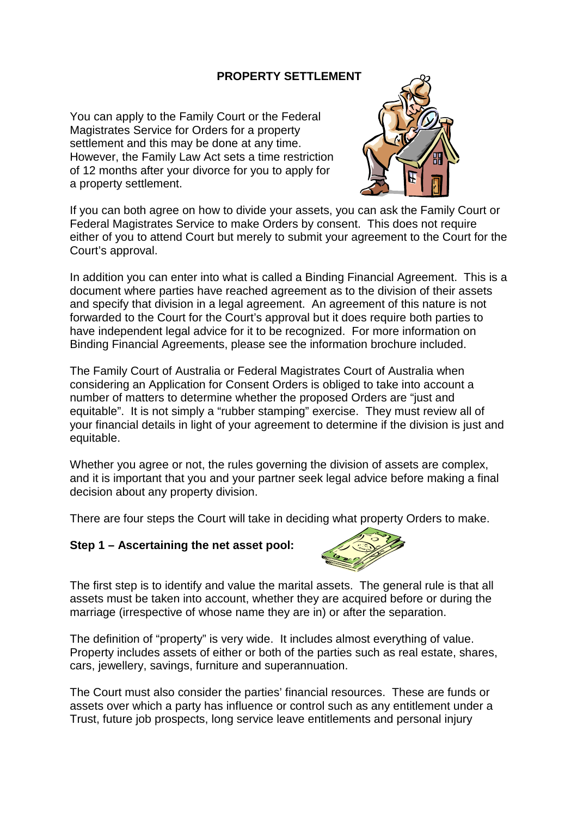## **PROPERTY SETTLEMENT**

You can apply to the Family Court or the Federal Magistrates Service for Orders for a property settlement and this may be done at any time. However, the Family Law Act sets a time restriction of 12 months after your divorce for you to apply for a property settlement.



If you can both agree on how to divide your assets, you can ask the Family Court or Federal Magistrates Service to make Orders by consent. This does not require either of you to attend Court but merely to submit your agreement to the Court for the Court's approval.

In addition you can enter into what is called a Binding Financial Agreement. This is a document where parties have reached agreement as to the division of their assets and specify that division in a legal agreement. An agreement of this nature is not forwarded to the Court for the Court's approval but it does require both parties to have independent legal advice for it to be recognized. For more information on Binding Financial Agreements, please see the information brochure included.

The Family Court of Australia or Federal Magistrates Court of Australia when considering an Application for Consent Orders is obliged to take into account a number of matters to determine whether the proposed Orders are "just and equitable". It is not simply a "rubber stamping" exercise. They must review all of your financial details in light of your agreement to determine if the division is just and equitable.

Whether you agree or not, the rules governing the division of assets are complex, and it is important that you and your partner seek legal advice before making a final decision about any property division.

There are four steps the Court will take in deciding what property Orders to make.

### **Step 1 – Ascertaining the net asset pool:**



The first step is to identify and value the marital assets. The general rule is that all assets must be taken into account, whether they are acquired before or during the marriage (irrespective of whose name they are in) or after the separation.

The definition of "property" is very wide. It includes almost everything of value. Property includes assets of either or both of the parties such as real estate, shares, cars, jewellery, savings, furniture and superannuation.

The Court must also consider the parties' financial resources. These are funds or assets over which a party has influence or control such as any entitlement under a Trust, future job prospects, long service leave entitlements and personal injury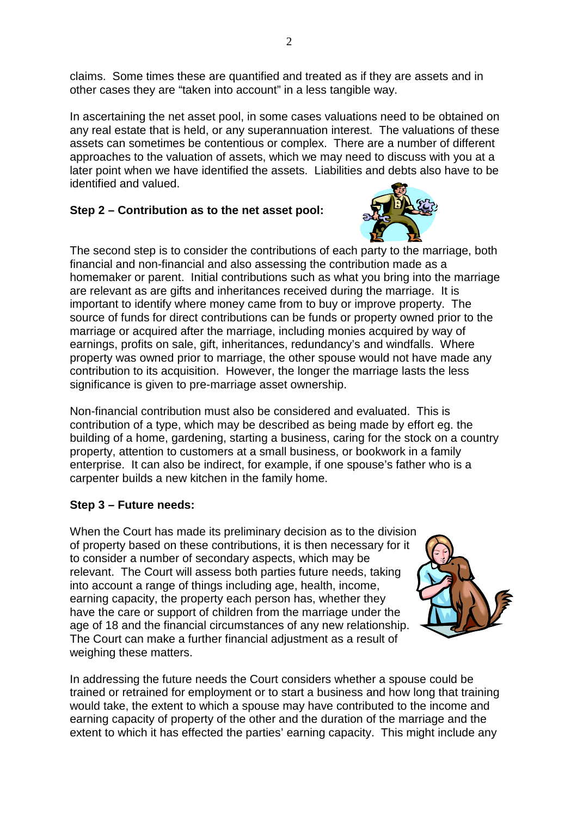claims. Some times these are quantified and treated as if they are assets and in other cases they are "taken into account" in a less tangible way.

In ascertaining the net asset pool, in some cases valuations need to be obtained on any real estate that is held, or any superannuation interest. The valuations of these assets can sometimes be contentious or complex. There are a number of different approaches to the valuation of assets, which we may need to discuss with you at a later point when we have identified the assets. Liabilities and debts also have to be identified and valued.

# **Step 2 – Contribution as to the net asset pool:**



The second step is to consider the contributions of each party to the marriage, both financial and non-financial and also assessing the contribution made as a homemaker or parent. Initial contributions such as what you bring into the marriage are relevant as are gifts and inheritances received during the marriage. It is important to identify where money came from to buy or improve property. The source of funds for direct contributions can be funds or property owned prior to the marriage or acquired after the marriage, including monies acquired by way of earnings, profits on sale, gift, inheritances, redundancy's and windfalls. Where property was owned prior to marriage, the other spouse would not have made any contribution to its acquisition. However, the longer the marriage lasts the less significance is given to pre-marriage asset ownership.

Non-financial contribution must also be considered and evaluated. This is contribution of a type, which may be described as being made by effort eg. the building of a home, gardening, starting a business, caring for the stock on a country property, attention to customers at a small business, or bookwork in a family enterprise. It can also be indirect, for example, if one spouse's father who is a carpenter builds a new kitchen in the family home.

# **Step 3 – Future needs:**

When the Court has made its preliminary decision as to the division of property based on these contributions, it is then necessary for it to consider a number of secondary aspects, which may be relevant. The Court will assess both parties future needs, taking into account a range of things including age, health, income, earning capacity, the property each person has, whether they have the care or support of children from the marriage under the age of 18 and the financial circumstances of any new relationship. The Court can make a further financial adjustment as a result of weighing these matters.



In addressing the future needs the Court considers whether a spouse could be trained or retrained for employment or to start a business and how long that training would take, the extent to which a spouse may have contributed to the income and earning capacity of property of the other and the duration of the marriage and the extent to which it has effected the parties' earning capacity. This might include any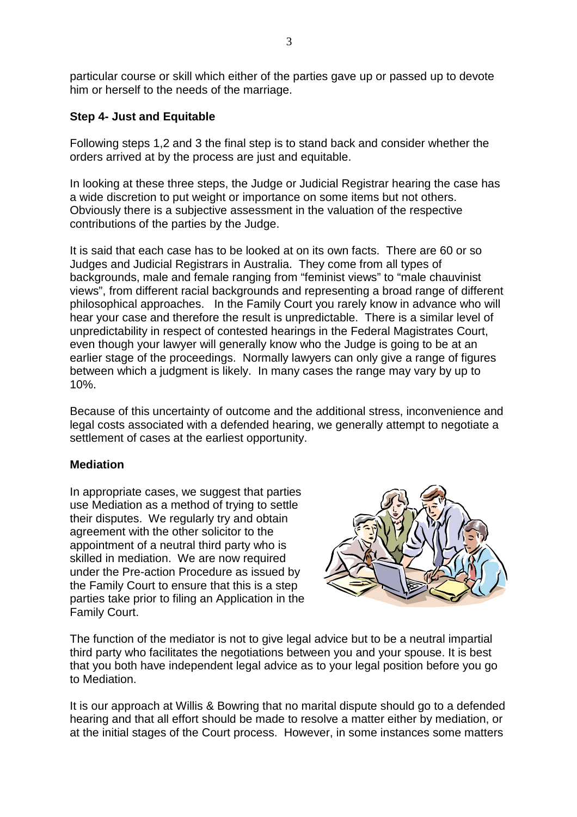particular course or skill which either of the parties gave up or passed up to devote him or herself to the needs of the marriage.

## **Step 4- Just and Equitable**

Following steps 1,2 and 3 the final step is to stand back and consider whether the orders arrived at by the process are just and equitable.

In looking at these three steps, the Judge or Judicial Registrar hearing the case has a wide discretion to put weight or importance on some items but not others. Obviously there is a subjective assessment in the valuation of the respective contributions of the parties by the Judge.

It is said that each case has to be looked at on its own facts. There are 60 or so Judges and Judicial Registrars in Australia. They come from all types of backgrounds, male and female ranging from "feminist views" to "male chauvinist views", from different racial backgrounds and representing a broad range of different philosophical approaches. In the Family Court you rarely know in advance who will hear your case and therefore the result is unpredictable. There is a similar level of unpredictability in respect of contested hearings in the Federal Magistrates Court, even though your lawyer will generally know who the Judge is going to be at an earlier stage of the proceedings. Normally lawyers can only give a range of figures between which a judgment is likely. In many cases the range may vary by up to 10%.

Because of this uncertainty of outcome and the additional stress, inconvenience and legal costs associated with a defended hearing, we generally attempt to negotiate a settlement of cases at the earliest opportunity.

### **Mediation**

In appropriate cases, we suggest that parties use Mediation as a method of trying to settle their disputes. We regularly try and obtain agreement with the other solicitor to the appointment of a neutral third party who is skilled in mediation. We are now required under the Pre-action Procedure as issued by the Family Court to ensure that this is a step parties take prior to filing an Application in the Family Court.



The function of the mediator is not to give legal advice but to be a neutral impartial third party who facilitates the negotiations between you and your spouse. It is best that you both have independent legal advice as to your legal position before you go to Mediation.

It is our approach at Willis & Bowring that no marital dispute should go to a defended hearing and that all effort should be made to resolve a matter either by mediation, or at the initial stages of the Court process. However, in some instances some matters